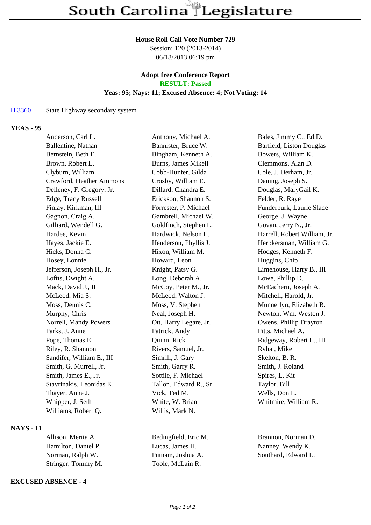# **House Roll Call Vote Number 729**

Session: 120 (2013-2014) 06/18/2013 06:19 pm

### **Adopt free Conference Report RESULT: Passed**

# **Yeas: 95; Nays: 11; Excused Absence: 4; Not Voting: 14**

### H 3360 State Highway secondary system

# **YEAS - 95**

| Ballentine, Nathan<br>Bernstein, Beth E.<br>Brown, Robert L.<br>Clyburn, William<br>Crawford, Heather Ammons<br>Delleney, F. Gregory, Jr.<br>Edge, Tracy Russell<br>Finlay, Kirkman, III<br>Gagnon, Craig A. | Bannister, Bruce W.<br>Bingham, Kenneth A.<br>Burns, James Mikell<br>Cobb-Hunter, Gilda<br>Crosby, William E.<br>Dillard, Chandra E.<br>Erickson, Shannon S.<br>Forrester, P. Michael<br>Gambrell, Michael W.                                                                                                                                                                                                                                                    | Barfield, Liston Douglas<br>Bowers, William K.<br>Clemmons, Alan D.<br>Cole, J. Derham, Jr.<br>Daning, Joseph S.<br>Douglas, MaryGail K.<br>Felder, R. Raye<br>Funderburk, Laurie Slade |
|--------------------------------------------------------------------------------------------------------------------------------------------------------------------------------------------------------------|------------------------------------------------------------------------------------------------------------------------------------------------------------------------------------------------------------------------------------------------------------------------------------------------------------------------------------------------------------------------------------------------------------------------------------------------------------------|-----------------------------------------------------------------------------------------------------------------------------------------------------------------------------------------|
|                                                                                                                                                                                                              |                                                                                                                                                                                                                                                                                                                                                                                                                                                                  |                                                                                                                                                                                         |
|                                                                                                                                                                                                              |                                                                                                                                                                                                                                                                                                                                                                                                                                                                  |                                                                                                                                                                                         |
|                                                                                                                                                                                                              |                                                                                                                                                                                                                                                                                                                                                                                                                                                                  |                                                                                                                                                                                         |
|                                                                                                                                                                                                              |                                                                                                                                                                                                                                                                                                                                                                                                                                                                  |                                                                                                                                                                                         |
|                                                                                                                                                                                                              |                                                                                                                                                                                                                                                                                                                                                                                                                                                                  |                                                                                                                                                                                         |
|                                                                                                                                                                                                              |                                                                                                                                                                                                                                                                                                                                                                                                                                                                  |                                                                                                                                                                                         |
|                                                                                                                                                                                                              |                                                                                                                                                                                                                                                                                                                                                                                                                                                                  |                                                                                                                                                                                         |
|                                                                                                                                                                                                              |                                                                                                                                                                                                                                                                                                                                                                                                                                                                  |                                                                                                                                                                                         |
|                                                                                                                                                                                                              |                                                                                                                                                                                                                                                                                                                                                                                                                                                                  | George, J. Wayne                                                                                                                                                                        |
|                                                                                                                                                                                                              |                                                                                                                                                                                                                                                                                                                                                                                                                                                                  | Govan, Jerry N., Jr.                                                                                                                                                                    |
|                                                                                                                                                                                                              | Hardwick, Nelson L.                                                                                                                                                                                                                                                                                                                                                                                                                                              | Harrell, Robert William, Jr.                                                                                                                                                            |
|                                                                                                                                                                                                              | Henderson, Phyllis J.                                                                                                                                                                                                                                                                                                                                                                                                                                            | Herbkersman, William G.                                                                                                                                                                 |
|                                                                                                                                                                                                              | Hixon, William M.                                                                                                                                                                                                                                                                                                                                                                                                                                                | Hodges, Kenneth F.                                                                                                                                                                      |
|                                                                                                                                                                                                              | Howard, Leon                                                                                                                                                                                                                                                                                                                                                                                                                                                     | Huggins, Chip                                                                                                                                                                           |
|                                                                                                                                                                                                              | Knight, Patsy G.                                                                                                                                                                                                                                                                                                                                                                                                                                                 | Limehouse, Harry B., III                                                                                                                                                                |
|                                                                                                                                                                                                              | Long, Deborah A.                                                                                                                                                                                                                                                                                                                                                                                                                                                 | Lowe, Phillip D.                                                                                                                                                                        |
|                                                                                                                                                                                                              | McCoy, Peter M., Jr.                                                                                                                                                                                                                                                                                                                                                                                                                                             | McEachern, Joseph A.                                                                                                                                                                    |
|                                                                                                                                                                                                              | McLeod, Walton J.                                                                                                                                                                                                                                                                                                                                                                                                                                                | Mitchell, Harold, Jr.                                                                                                                                                                   |
|                                                                                                                                                                                                              | Moss, V. Stephen                                                                                                                                                                                                                                                                                                                                                                                                                                                 | Munnerlyn, Elizabeth R.                                                                                                                                                                 |
|                                                                                                                                                                                                              | Neal, Joseph H.                                                                                                                                                                                                                                                                                                                                                                                                                                                  | Newton, Wm. Weston J.                                                                                                                                                                   |
|                                                                                                                                                                                                              | Ott, Harry Legare, Jr.                                                                                                                                                                                                                                                                                                                                                                                                                                           | Owens, Phillip Drayton                                                                                                                                                                  |
|                                                                                                                                                                                                              | Patrick, Andy                                                                                                                                                                                                                                                                                                                                                                                                                                                    | Pitts, Michael A.                                                                                                                                                                       |
|                                                                                                                                                                                                              | Quinn, Rick                                                                                                                                                                                                                                                                                                                                                                                                                                                      | Ridgeway, Robert L., III                                                                                                                                                                |
|                                                                                                                                                                                                              | Rivers, Samuel, Jr.                                                                                                                                                                                                                                                                                                                                                                                                                                              | Ryhal, Mike                                                                                                                                                                             |
|                                                                                                                                                                                                              | Simrill, J. Gary                                                                                                                                                                                                                                                                                                                                                                                                                                                 | Skelton, B. R.                                                                                                                                                                          |
|                                                                                                                                                                                                              | Smith, Garry R.                                                                                                                                                                                                                                                                                                                                                                                                                                                  | Smith, J. Roland                                                                                                                                                                        |
|                                                                                                                                                                                                              | Sottile, F. Michael                                                                                                                                                                                                                                                                                                                                                                                                                                              | Spires, L. Kit                                                                                                                                                                          |
|                                                                                                                                                                                                              | Tallon, Edward R., Sr.                                                                                                                                                                                                                                                                                                                                                                                                                                           | Taylor, Bill                                                                                                                                                                            |
|                                                                                                                                                                                                              | Vick, Ted M.                                                                                                                                                                                                                                                                                                                                                                                                                                                     | Wells, Don L.                                                                                                                                                                           |
|                                                                                                                                                                                                              | White, W. Brian                                                                                                                                                                                                                                                                                                                                                                                                                                                  | Whitmire, William R.                                                                                                                                                                    |
|                                                                                                                                                                                                              | Willis, Mark N.                                                                                                                                                                                                                                                                                                                                                                                                                                                  |                                                                                                                                                                                         |
|                                                                                                                                                                                                              | Hardee, Kevin<br>Hayes, Jackie E.<br>Hicks, Donna C.<br>Hosey, Lonnie<br>Jefferson, Joseph H., Jr.<br>Loftis, Dwight A.<br>Mack, David J., III<br>McLeod, Mia S.<br>Moss, Dennis C.<br>Murphy, Chris<br>Norrell, Mandy Powers<br>Parks, J. Anne<br>Pope, Thomas E.<br>Riley, R. Shannon<br>Sandifer, William E., III<br>Smith, G. Murrell, Jr.<br>Smith, James E., Jr.<br>Stavrinakis, Leonidas E.<br>Thayer, Anne J.<br>Whipper, J. Seth<br>Williams, Robert Q. | Goldfinch, Stephen L.<br>Gilliard, Wendell G.                                                                                                                                           |

#### **NAYS - 11**

| Allison, Merita A.  | Bedingfield, Eric M. | Brannon, Norman D.  |
|---------------------|----------------------|---------------------|
| Hamilton, Daniel P. | Lucas, James H.      | Nanney, Wendy K.    |
| Norman, Ralph W.    | Putnam, Joshua A.    | Southard, Edward L. |
| Stringer, Tommy M.  | Toole, McLain R.     |                     |

### **EXCUSED ABSENCE - 4**